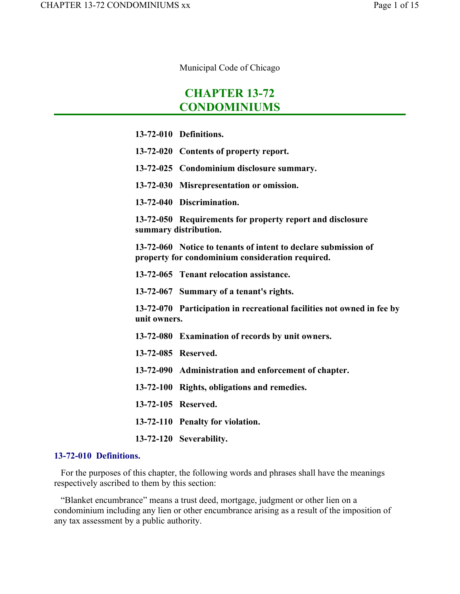Municipal Code of Chicago

# CHAPTER 13-72 CONDOMINIUMS

- 13-72-010 Definitions.
- 13-72-020 Contents of property report.
- 13-72-025 Condominium disclosure summary.
- 13-72-030 Misrepresentation or omission.
- 13-72-040 Discrimination.

13-72-050 Requirements for property report and disclosure summary distribution.

13-72-060 Notice to tenants of intent to declare submission of property for condominium consideration required.

- 13-72-065 Tenant relocation assistance.
- 13-72-067 Summary of a tenant's rights.

13-72-070 Participation in recreational facilities not owned in fee by unit owners.

- 13-72-080 Examination of records by unit owners.
- 13-72-085 Reserved.
- 13-72-090 Administration and enforcement of chapter.
- 13-72-100 Rights, obligations and remedies.
- 13-72-105 Reserved.
- 13-72-110 Penalty for violation.
- 13-72-120 Severability.

#### 13-72-010 Definitions.

 For the purposes of this chapter, the following words and phrases shall have the meanings respectively ascribed to them by this section:

 "Blanket encumbrance" means a trust deed, mortgage, judgment or other lien on a condominium including any lien or other encumbrance arising as a result of the imposition of any tax assessment by a public authority.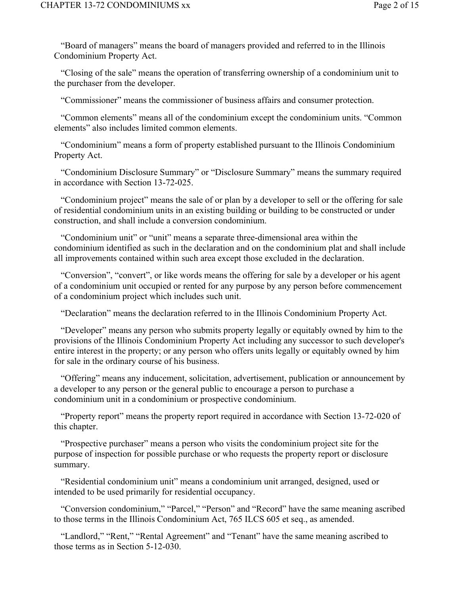"Board of managers" means the board of managers provided and referred to in the Illinois Condominium Property Act.

 "Closing of the sale" means the operation of transferring ownership of a condominium unit to the purchaser from the developer.

"Commissioner" means the commissioner of business affairs and consumer protection.

 "Common elements" means all of the condominium except the condominium units. "Common elements" also includes limited common elements.

 "Condominium" means a form of property established pursuant to the Illinois Condominium Property Act.

 "Condominium Disclosure Summary" or "Disclosure Summary" means the summary required in accordance with Section 13-72-025.

 "Condominium project" means the sale of or plan by a developer to sell or the offering for sale of residential condominium units in an existing building or building to be constructed or under construction, and shall include a conversion condominium.

 "Condominium unit" or "unit" means a separate three-dimensional area within the condominium identified as such in the declaration and on the condominium plat and shall include all improvements contained within such area except those excluded in the declaration.

 "Conversion", "convert", or like words means the offering for sale by a developer or his agent of a condominium unit occupied or rented for any purpose by any person before commencement of a condominium project which includes such unit.

"Declaration" means the declaration referred to in the Illinois Condominium Property Act.

 "Developer" means any person who submits property legally or equitably owned by him to the provisions of the Illinois Condominium Property Act including any successor to such developer's entire interest in the property; or any person who offers units legally or equitably owned by him for sale in the ordinary course of his business.

 "Offering" means any inducement, solicitation, advertisement, publication or announcement by a developer to any person or the general public to encourage a person to purchase a condominium unit in a condominium or prospective condominium.

 "Property report" means the property report required in accordance with Section 13-72-020 of this chapter.

 "Prospective purchaser" means a person who visits the condominium project site for the purpose of inspection for possible purchase or who requests the property report or disclosure summary.

 "Residential condominium unit" means a condominium unit arranged, designed, used or intended to be used primarily for residential occupancy.

 "Conversion condominium," "Parcel," "Person" and "Record" have the same meaning ascribed to those terms in the Illinois Condominium Act, 765 ILCS 605 et seq., as amended.

 "Landlord," "Rent," "Rental Agreement" and "Tenant" have the same meaning ascribed to those terms as in Section 5-12-030.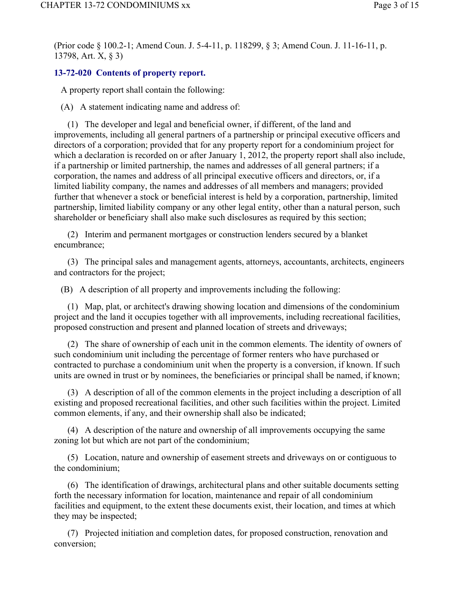(Prior code § 100.2-1; Amend Coun. J. 5-4-11, p. 118299, § 3; Amend Coun. J. 11-16-11, p. 13798, Art. X, § 3)

## 13-72-020 Contents of property report.

A property report shall contain the following:

(A) A statement indicating name and address of:

 (1) The developer and legal and beneficial owner, if different, of the land and improvements, including all general partners of a partnership or principal executive officers and directors of a corporation; provided that for any property report for a condominium project for which a declaration is recorded on or after January 1, 2012, the property report shall also include, if a partnership or limited partnership, the names and addresses of all general partners; if a corporation, the names and address of all principal executive officers and directors, or, if a limited liability company, the names and addresses of all members and managers; provided further that whenever a stock or beneficial interest is held by a corporation, partnership, limited partnership, limited liability company or any other legal entity, other than a natural person, such shareholder or beneficiary shall also make such disclosures as required by this section;

 (2) Interim and permanent mortgages or construction lenders secured by a blanket encumbrance;

 (3) The principal sales and management agents, attorneys, accountants, architects, engineers and contractors for the project;

(B) A description of all property and improvements including the following:

 (1) Map, plat, or architect's drawing showing location and dimensions of the condominium project and the land it occupies together with all improvements, including recreational facilities, proposed construction and present and planned location of streets and driveways;

 (2) The share of ownership of each unit in the common elements. The identity of owners of such condominium unit including the percentage of former renters who have purchased or contracted to purchase a condominium unit when the property is a conversion, if known. If such units are owned in trust or by nominees, the beneficiaries or principal shall be named, if known;

 (3) A description of all of the common elements in the project including a description of all existing and proposed recreational facilities, and other such facilities within the project. Limited common elements, if any, and their ownership shall also be indicated;

 (4) A description of the nature and ownership of all improvements occupying the same zoning lot but which are not part of the condominium;

 (5) Location, nature and ownership of easement streets and driveways on or contiguous to the condominium;

 (6) The identification of drawings, architectural plans and other suitable documents setting forth the necessary information for location, maintenance and repair of all condominium facilities and equipment, to the extent these documents exist, their location, and times at which they may be inspected;

 (7) Projected initiation and completion dates, for proposed construction, renovation and conversion;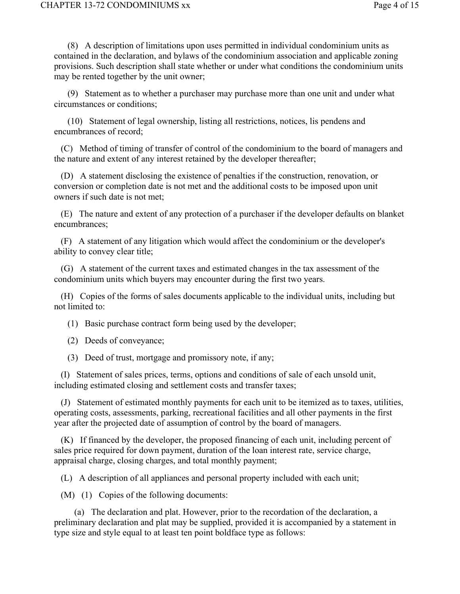(8) A description of limitations upon uses permitted in individual condominium units as contained in the declaration, and bylaws of the condominium association and applicable zoning provisions. Such description shall state whether or under what conditions the condominium units may be rented together by the unit owner;

 (9) Statement as to whether a purchaser may purchase more than one unit and under what circumstances or conditions;

 (10) Statement of legal ownership, listing all restrictions, notices, lis pendens and encumbrances of record;

 (C) Method of timing of transfer of control of the condominium to the board of managers and the nature and extent of any interest retained by the developer thereafter;

 (D) A statement disclosing the existence of penalties if the construction, renovation, or conversion or completion date is not met and the additional costs to be imposed upon unit owners if such date is not met;

 (E) The nature and extent of any protection of a purchaser if the developer defaults on blanket encumbrances;

 (F) A statement of any litigation which would affect the condominium or the developer's ability to convey clear title;

 (G) A statement of the current taxes and estimated changes in the tax assessment of the condominium units which buyers may encounter during the first two years.

 (H) Copies of the forms of sales documents applicable to the individual units, including but not limited to:

(1) Basic purchase contract form being used by the developer;

- (2) Deeds of conveyance;
- (3) Deed of trust, mortgage and promissory note, if any;

 (I) Statement of sales prices, terms, options and conditions of sale of each unsold unit, including estimated closing and settlement costs and transfer taxes;

 (J) Statement of estimated monthly payments for each unit to be itemized as to taxes, utilities, operating costs, assessments, parking, recreational facilities and all other payments in the first year after the projected date of assumption of control by the board of managers.

 (K) If financed by the developer, the proposed financing of each unit, including percent of sales price required for down payment, duration of the loan interest rate, service charge, appraisal charge, closing charges, and total monthly payment;

(L) A description of all appliances and personal property included with each unit;

(M) (1) Copies of the following documents:

 (a) The declaration and plat. However, prior to the recordation of the declaration, a preliminary declaration and plat may be supplied, provided it is accompanied by a statement in type size and style equal to at least ten point boldface type as follows: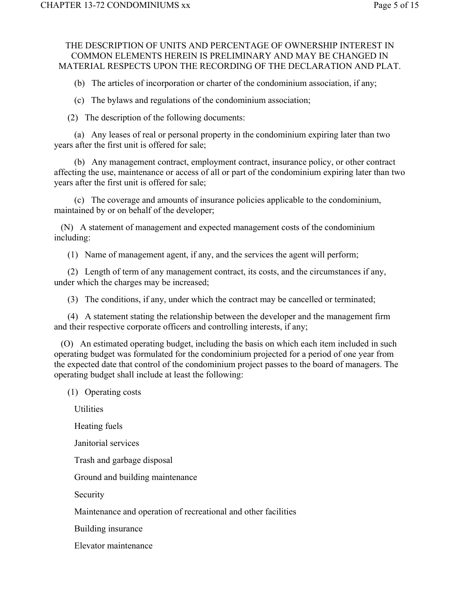### THE DESCRIPTION OF UNITS AND PERCENTAGE OF OWNERSHIP INTEREST IN COMMON ELEMENTS HEREIN IS PRELIMINARY AND MAY BE CHANGED IN MATERIAL RESPECTS UPON THE RECORDING OF THE DECLARATION AND PLAT.

(b) The articles of incorporation or charter of the condominium association, if any;

(c) The bylaws and regulations of the condominium association;

(2) The description of the following documents:

 (a) Any leases of real or personal property in the condominium expiring later than two years after the first unit is offered for sale;

 (b) Any management contract, employment contract, insurance policy, or other contract affecting the use, maintenance or access of all or part of the condominium expiring later than two years after the first unit is offered for sale;

 (c) The coverage and amounts of insurance policies applicable to the condominium, maintained by or on behalf of the developer;

 (N) A statement of management and expected management costs of the condominium including:

(1) Name of management agent, if any, and the services the agent will perform;

 (2) Length of term of any management contract, its costs, and the circumstances if any, under which the charges may be increased;

(3) The conditions, if any, under which the contract may be cancelled or terminated;

 (4) A statement stating the relationship between the developer and the management firm and their respective corporate officers and controlling interests, if any;

 (O) An estimated operating budget, including the basis on which each item included in such operating budget was formulated for the condominium projected for a period of one year from the expected date that control of the condominium project passes to the board of managers. The operating budget shall include at least the following:

(1) Operating costs

**Utilities** 

Heating fuels

Janitorial services

Trash and garbage disposal

Ground and building maintenance

Security

Maintenance and operation of recreational and other facilities

Building insurance

Elevator maintenance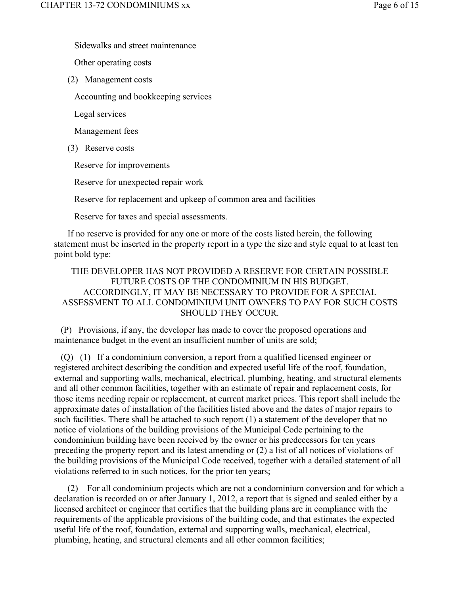Sidewalks and street maintenance

Other operating costs

(2) Management costs

Accounting and bookkeeping services

Legal services

Management fees

(3) Reserve costs

Reserve for improvements

Reserve for unexpected repair work

Reserve for replacement and upkeep of common area and facilities

Reserve for taxes and special assessments.

 If no reserve is provided for any one or more of the costs listed herein, the following statement must be inserted in the property report in a type the size and style equal to at least ten point bold type:

### THE DEVELOPER HAS NOT PROVIDED A RESERVE FOR CERTAIN POSSIBLE FUTURE COSTS OF THE CONDOMINIUM IN HIS BUDGET. ACCORDINGLY, IT MAY BE NECESSARY TO PROVIDE FOR A SPECIAL ASSESSMENT TO ALL CONDOMINIUM UNIT OWNERS TO PAY FOR SUCH COSTS SHOULD THEY OCCUR.

 (P) Provisions, if any, the developer has made to cover the proposed operations and maintenance budget in the event an insufficient number of units are sold;

 (Q) (1) If a condominium conversion, a report from a qualified licensed engineer or registered architect describing the condition and expected useful life of the roof, foundation, external and supporting walls, mechanical, electrical, plumbing, heating, and structural elements and all other common facilities, together with an estimate of repair and replacement costs, for those items needing repair or replacement, at current market prices. This report shall include the approximate dates of installation of the facilities listed above and the dates of major repairs to such facilities. There shall be attached to such report (1) a statement of the developer that no notice of violations of the building provisions of the Municipal Code pertaining to the condominium building have been received by the owner or his predecessors for ten years preceding the property report and its latest amending or (2) a list of all notices of violations of the building provisions of the Municipal Code received, together with a detailed statement of all violations referred to in such notices, for the prior ten years;

 (2) For all condominium projects which are not a condominium conversion and for which a declaration is recorded on or after January 1, 2012, a report that is signed and sealed either by a licensed architect or engineer that certifies that the building plans are in compliance with the requirements of the applicable provisions of the building code, and that estimates the expected useful life of the roof, foundation, external and supporting walls, mechanical, electrical, plumbing, heating, and structural elements and all other common facilities;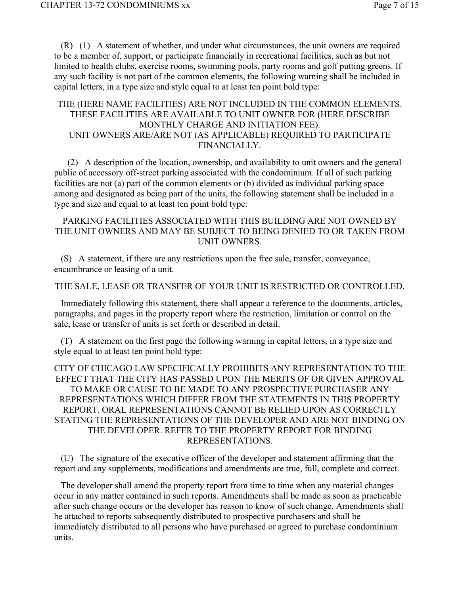(R) (1) A statement of whether, and under what circumstances, the unit owners are required to be a member of, support, or participate financially in recreational facilities, such as but not limited to health clubs, exercise rooms, swimming pools, party rooms and golf putting greens. If any such facility is not part of the common elements, the following warning shall be included in capital letters, in a type size and style equal to at least ten point bold type:

### THE (HERE NAME FACILITIES) ARE NOT INCLUDED IN THE COMMON ELEMENTS. THESE FACILITIES ARE AVAILABLE TO UNIT OWNER FOR (HERE DESCRIBE MONTHLY CHARGE AND INITIATION FEE). UNIT OWNERS ARE/ARE NOT (AS APPLICABLE) REQUIRED TO PARTICIPATE FINANCIALLY.

 (2) A description of the location, ownership, and availability to unit owners and the general public of accessory off-street parking associated with the condominium. If all of such parking facilities are not (a) part of the common elements or (b) divided as individual parking space among and designated as being part of the units, the following statement shall be included in a type and size and equal to at least ten point bold type:

### PARKING FACILITIES ASSOCIATED WITH THIS BUILDING ARE NOT OWNED BY THE UNIT OWNERS AND MAY BE SUBJECT TO BEING DENIED TO OR TAKEN FROM UNIT OWNERS.

 (S) A statement, if there are any restrictions upon the free sale, transfer, conveyance, encumbrance or leasing of a unit.

### THE SALE, LEASE OR TRANSFER OF YOUR UNIT IS RESTRICTED OR CONTROLLED.

 Immediately following this statement, there shall appear a reference to the documents, articles, paragraphs, and pages in the property report where the restriction, limitation or control on the sale, lease or transfer of units is set forth or described in detail.

 (T) A statement on the first page the following warning in capital letters, in a type size and style equal to at least ten point bold type:

CITY OF CHICAGO LAW SPECIFICALLY PROHIBITS ANY REPRESENTATION TO THE EFFECT THAT THE CITY HAS PASSED UPON THE MERITS OF OR GIVEN APPROVAL TO MAKE OR CAUSE TO BE MADE TO ANY PROSPECTIVE PURCHASER ANY REPRESENTATIONS WHICH DIFFER FROM THE STATEMENTS IN THIS PROPERTY REPORT. ORAL REPRESENTATIONS CANNOT BE RELIED UPON AS CORRECTLY STATING THE REPRESENTATIONS OF THE DEVELOPER AND ARE NOT BINDING ON THE DEVELOPER. REFER TO THE PROPERTY REPORT FOR BINDING REPRESENTATIONS.

 (U) The signature of the executive officer of the developer and statement affirming that the report and any supplements, modifications and amendments are true, full, complete and correct.

 The developer shall amend the property report from time to time when any material changes occur in any matter contained in such reports. Amendments shall be made as soon as practicable after such change occurs or the developer has reason to know of such change. Amendments shall be attached to reports subsequently distributed to prospective purchasers and shall be immediately distributed to all persons who have purchased or agreed to purchase condominium units.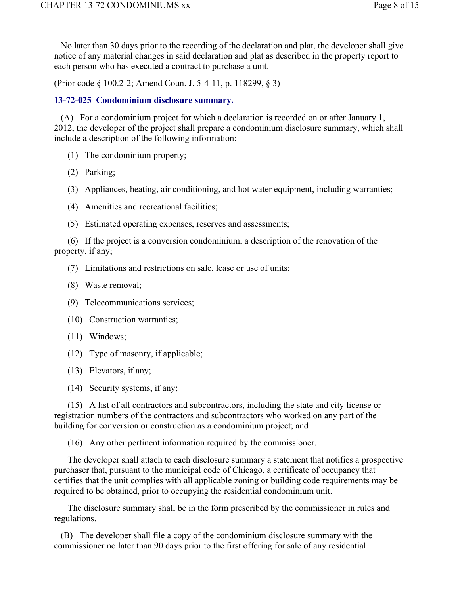No later than 30 days prior to the recording of the declaration and plat, the developer shall give notice of any material changes in said declaration and plat as described in the property report to each person who has executed a contract to purchase a unit.

(Prior code § 100.2-2; Amend Coun. J. 5-4-11, p. 118299, § 3)

### 13-72-025 Condominium disclosure summary.

 (A) For a condominium project for which a declaration is recorded on or after January 1, 2012, the developer of the project shall prepare a condominium disclosure summary, which shall include a description of the following information:

- (1) The condominium property;
- (2) Parking;
- (3) Appliances, heating, air conditioning, and hot water equipment, including warranties;
- (4) Amenities and recreational facilities;
- (5) Estimated operating expenses, reserves and assessments;

 (6) If the project is a conversion condominium, a description of the renovation of the property, if any;

- (7) Limitations and restrictions on sale, lease or use of units;
- (8) Waste removal;
- (9) Telecommunications services;
- (10) Construction warranties;
- (11) Windows;
- (12) Type of masonry, if applicable;
- (13) Elevators, if any;
- (14) Security systems, if any;

 (15) A list of all contractors and subcontractors, including the state and city license or registration numbers of the contractors and subcontractors who worked on any part of the building for conversion or construction as a condominium project; and

(16) Any other pertinent information required by the commissioner.

 The developer shall attach to each disclosure summary a statement that notifies a prospective purchaser that, pursuant to the municipal code of Chicago, a certificate of occupancy that certifies that the unit complies with all applicable zoning or building code requirements may be required to be obtained, prior to occupying the residential condominium unit.

 The disclosure summary shall be in the form prescribed by the commissioner in rules and regulations.

 (B) The developer shall file a copy of the condominium disclosure summary with the commissioner no later than 90 days prior to the first offering for sale of any residential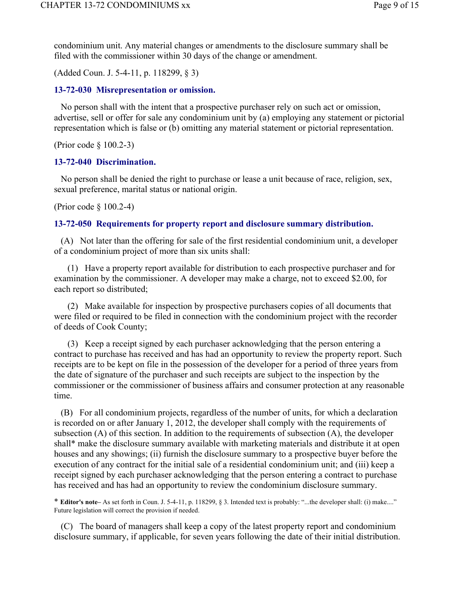condominium unit. Any material changes or amendments to the disclosure summary shall be filed with the commissioner within 30 days of the change or amendment.

(Added Coun. J. 5-4-11, p. 118299, § 3)

# 13-72-030 Misrepresentation or omission.

 No person shall with the intent that a prospective purchaser rely on such act or omission, advertise, sell or offer for sale any condominium unit by (a) employing any statement or pictorial representation which is false or (b) omitting any material statement or pictorial representation.

(Prior code § 100.2-3)

# 13-72-040 Discrimination.

 No person shall be denied the right to purchase or lease a unit because of race, religion, sex, sexual preference, marital status or national origin.

(Prior code § 100.2-4)

### 13-72-050 Requirements for property report and disclosure summary distribution.

 (A) Not later than the offering for sale of the first residential condominium unit, a developer of a condominium project of more than six units shall:

 (1) Have a property report available for distribution to each prospective purchaser and for examination by the commissioner. A developer may make a charge, not to exceed \$2.00, for each report so distributed;

 (2) Make available for inspection by prospective purchasers copies of all documents that were filed or required to be filed in connection with the condominium project with the recorder of deeds of Cook County;

 (3) Keep a receipt signed by each purchaser acknowledging that the person entering a contract to purchase has received and has had an opportunity to review the property report. Such receipts are to be kept on file in the possession of the developer for a period of three years from the date of signature of the purchaser and such receipts are subject to the inspection by the commissioner or the commissioner of business affairs and consumer protection at any reasonable time.

 (B) For all condominium projects, regardless of the number of units, for which a declaration is recorded on or after January 1, 2012, the developer shall comply with the requirements of subsection (A) of this section. In addition to the requirements of subsection (A), the developer shall\* make the disclosure summary available with marketing materials and distribute it at open houses and any showings; (ii) furnish the disclosure summary to a prospective buyer before the execution of any contract for the initial sale of a residential condominium unit; and (iii) keep a receipt signed by each purchaser acknowledging that the person entering a contract to purchase has received and has had an opportunity to review the condominium disclosure summary.

\* Editor's note– As set forth in Coun. J. 5-4-11, p. 118299, § 3. Intended text is probably: "...the developer shall: (i) make...." Future legislation will correct the provision if needed.

 (C) The board of managers shall keep a copy of the latest property report and condominium disclosure summary, if applicable, for seven years following the date of their initial distribution.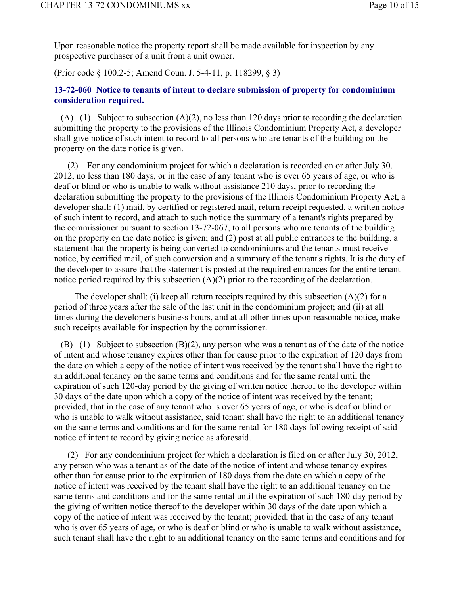Upon reasonable notice the property report shall be made available for inspection by any prospective purchaser of a unit from a unit owner.

(Prior code § 100.2-5; Amend Coun. J. 5-4-11, p. 118299, § 3)

### 13-72-060 Notice to tenants of intent to declare submission of property for condominium consideration required.

 (A) (1) Subject to subsection (A)(2), no less than 120 days prior to recording the declaration submitting the property to the provisions of the Illinois Condominium Property Act, a developer shall give notice of such intent to record to all persons who are tenants of the building on the property on the date notice is given.

 (2) For any condominium project for which a declaration is recorded on or after July 30, 2012, no less than 180 days, or in the case of any tenant who is over 65 years of age, or who is deaf or blind or who is unable to walk without assistance 210 days, prior to recording the declaration submitting the property to the provisions of the Illinois Condominium Property Act, a developer shall: (1) mail, by certified or registered mail, return receipt requested, a written notice of such intent to record, and attach to such notice the summary of a tenant's rights prepared by the commissioner pursuant to section 13-72-067, to all persons who are tenants of the building on the property on the date notice is given; and (2) post at all public entrances to the building, a statement that the property is being converted to condominiums and the tenants must receive notice, by certified mail, of such conversion and a summary of the tenant's rights. It is the duty of the developer to assure that the statement is posted at the required entrances for the entire tenant notice period required by this subsection  $(A)(2)$  prior to the recording of the declaration.

The developer shall: (i) keep all return receipts required by this subsection  $(A)(2)$  for a period of three years after the sale of the last unit in the condominium project; and (ii) at all times during the developer's business hours, and at all other times upon reasonable notice, make such receipts available for inspection by the commissioner.

(B) (1) Subject to subsection  $(B)(2)$ , any person who was a tenant as of the date of the notice of intent and whose tenancy expires other than for cause prior to the expiration of 120 days from the date on which a copy of the notice of intent was received by the tenant shall have the right to an additional tenancy on the same terms and conditions and for the same rental until the expiration of such 120-day period by the giving of written notice thereof to the developer within 30 days of the date upon which a copy of the notice of intent was received by the tenant; provided, that in the case of any tenant who is over 65 years of age, or who is deaf or blind or who is unable to walk without assistance, said tenant shall have the right to an additional tenancy on the same terms and conditions and for the same rental for 180 days following receipt of said notice of intent to record by giving notice as aforesaid.

 (2) For any condominium project for which a declaration is filed on or after July 30, 2012, any person who was a tenant as of the date of the notice of intent and whose tenancy expires other than for cause prior to the expiration of 180 days from the date on which a copy of the notice of intent was received by the tenant shall have the right to an additional tenancy on the same terms and conditions and for the same rental until the expiration of such 180-day period by the giving of written notice thereof to the developer within 30 days of the date upon which a copy of the notice of intent was received by the tenant; provided, that in the case of any tenant who is over 65 years of age, or who is deaf or blind or who is unable to walk without assistance, such tenant shall have the right to an additional tenancy on the same terms and conditions and for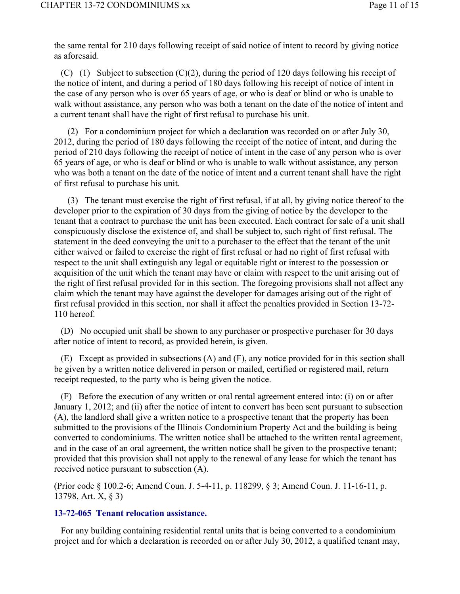the same rental for 210 days following receipt of said notice of intent to record by giving notice as aforesaid.

(C) (1) Subject to subsection  $(C)(2)$ , during the period of 120 days following his receipt of the notice of intent, and during a period of 180 days following his receipt of notice of intent in the case of any person who is over 65 years of age, or who is deaf or blind or who is unable to walk without assistance, any person who was both a tenant on the date of the notice of intent and a current tenant shall have the right of first refusal to purchase his unit.

 (2) For a condominium project for which a declaration was recorded on or after July 30, 2012, during the period of 180 days following the receipt of the notice of intent, and during the period of 210 days following the receipt of notice of intent in the case of any person who is over 65 years of age, or who is deaf or blind or who is unable to walk without assistance, any person who was both a tenant on the date of the notice of intent and a current tenant shall have the right of first refusal to purchase his unit.

 (3) The tenant must exercise the right of first refusal, if at all, by giving notice thereof to the developer prior to the expiration of 30 days from the giving of notice by the developer to the tenant that a contract to purchase the unit has been executed. Each contract for sale of a unit shall conspicuously disclose the existence of, and shall be subject to, such right of first refusal. The statement in the deed conveying the unit to a purchaser to the effect that the tenant of the unit either waived or failed to exercise the right of first refusal or had no right of first refusal with respect to the unit shall extinguish any legal or equitable right or interest to the possession or acquisition of the unit which the tenant may have or claim with respect to the unit arising out of the right of first refusal provided for in this section. The foregoing provisions shall not affect any claim which the tenant may have against the developer for damages arising out of the right of first refusal provided in this section, nor shall it affect the penalties provided in Section 13-72- 110 hereof.

 (D) No occupied unit shall be shown to any purchaser or prospective purchaser for 30 days after notice of intent to record, as provided herein, is given.

 (E) Except as provided in subsections (A) and (F), any notice provided for in this section shall be given by a written notice delivered in person or mailed, certified or registered mail, return receipt requested, to the party who is being given the notice.

 (F) Before the execution of any written or oral rental agreement entered into: (i) on or after January 1, 2012; and (ii) after the notice of intent to convert has been sent pursuant to subsection (A), the landlord shall give a written notice to a prospective tenant that the property has been submitted to the provisions of the Illinois Condominium Property Act and the building is being converted to condominiums. The written notice shall be attached to the written rental agreement, and in the case of an oral agreement, the written notice shall be given to the prospective tenant; provided that this provision shall not apply to the renewal of any lease for which the tenant has received notice pursuant to subsection (A).

(Prior code § 100.2-6; Amend Coun. J. 5-4-11, p. 118299, § 3; Amend Coun. J. 11-16-11, p. 13798, Art. X, § 3)

### 13-72-065 Tenant relocation assistance.

 For any building containing residential rental units that is being converted to a condominium project and for which a declaration is recorded on or after July 30, 2012, a qualified tenant may,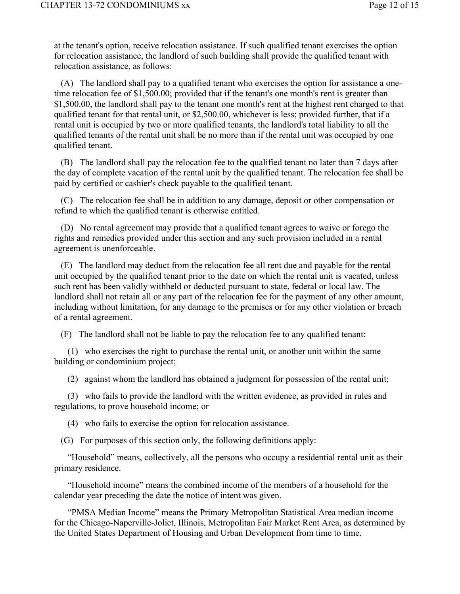at the tenant's option, receive relocation assistance. If such qualified tenant exercises the option for relocation assistance, the landlord of such building shall provide the qualified tenant with relocation assistance, as follows:

 (A) The landlord shall pay to a qualified tenant who exercises the option for assistance a onetime relocation fee of \$1,500.00; provided that if the tenant's one month's rent is greater than \$1,500.00, the landlord shall pay to the tenant one month's rent at the highest rent charged to that qualified tenant for that rental unit, or \$2,500.00, whichever is less; provided further, that if a rental unit is occupied by two or more qualified tenants, the landlord's total liability to all the qualified tenants of the rental unit shall be no more than if the rental unit was occupied by one qualified tenant.

 (B) The landlord shall pay the relocation fee to the qualified tenant no later than 7 days after the day of complete vacation of the rental unit by the qualified tenant. The relocation fee shall be paid by certified or cashier's check payable to the qualified tenant.

 (C) The relocation fee shall be in addition to any damage, deposit or other compensation or refund to which the qualified tenant is otherwise entitled.

 (D) No rental agreement may provide that a qualified tenant agrees to waive or forego the rights and remedies provided under this section and any such provision included in a rental agreement is unenforceable.

 (E) The landlord may deduct from the relocation fee all rent due and payable for the rental unit occupied by the qualified tenant prior to the date on which the rental unit is vacated, unless such rent has been validly withheld or deducted pursuant to state, federal or local law. The landlord shall not retain all or any part of the relocation fee for the payment of any other amount, including without limitation, for any damage to the premises or for any other violation or breach of a rental agreement.

(F) The landlord shall not be liable to pay the relocation fee to any qualified tenant:

 (1) who exercises the right to purchase the rental unit, or another unit within the same building or condominium project;

(2) against whom the landlord has obtained a judgment for possession of the rental unit;

 (3) who fails to provide the landlord with the written evidence, as provided in rules and regulations, to prove household income; or

(4) who fails to exercise the option for relocation assistance.

(G) For purposes of this section only, the following definitions apply:

 "Household" means, collectively, all the persons who occupy a residential rental unit as their primary residence.

 "Household income" means the combined income of the members of a household for the calendar year preceding the date the notice of intent was given.

 "PMSA Median Income" means the Primary Metropolitan Statistical Area median income for the Chicago-Naperville-Joliet, Illinois, Metropolitan Fair Market Rent Area, as determined by the United States Department of Housing and Urban Development from time to time.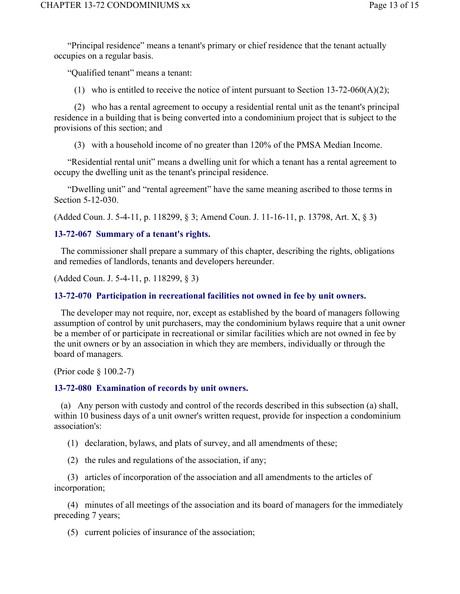"Principal residence" means a tenant's primary or chief residence that the tenant actually occupies on a regular basis.

"Qualified tenant" means a tenant:

(1) who is entitled to receive the notice of intent pursuant to Section  $13-72-060(A)(2)$ ;

 (2) who has a rental agreement to occupy a residential rental unit as the tenant's principal residence in a building that is being converted into a condominium project that is subject to the provisions of this section; and

(3) with a household income of no greater than 120% of the PMSA Median Income.

 "Residential rental unit" means a dwelling unit for which a tenant has a rental agreement to occupy the dwelling unit as the tenant's principal residence.

 "Dwelling unit" and "rental agreement" have the same meaning ascribed to those terms in Section 5-12-030.

(Added Coun. J. 5-4-11, p. 118299, § 3; Amend Coun. J. 11-16-11, p. 13798, Art. X, § 3)

### 13-72-067 Summary of a tenant's rights.

 The commissioner shall prepare a summary of this chapter, describing the rights, obligations and remedies of landlords, tenants and developers hereunder.

(Added Coun. J. 5-4-11, p. 118299, § 3)

#### 13-72-070 Participation in recreational facilities not owned in fee by unit owners.

 The developer may not require, nor, except as established by the board of managers following assumption of control by unit purchasers, may the condominium bylaws require that a unit owner be a member of or participate in recreational or similar facilities which are not owned in fee by the unit owners or by an association in which they are members, individually or through the board of managers.

(Prior code § 100.2-7)

#### 13-72-080 Examination of records by unit owners.

 (a) Any person with custody and control of the records described in this subsection (a) shall, within 10 business days of a unit owner's written request, provide for inspection a condominium association's:

(1) declaration, bylaws, and plats of survey, and all amendments of these;

(2) the rules and regulations of the association, if any;

 (3) articles of incorporation of the association and all amendments to the articles of incorporation;

 (4) minutes of all meetings of the association and its board of managers for the immediately preceding 7 years;

(5) current policies of insurance of the association;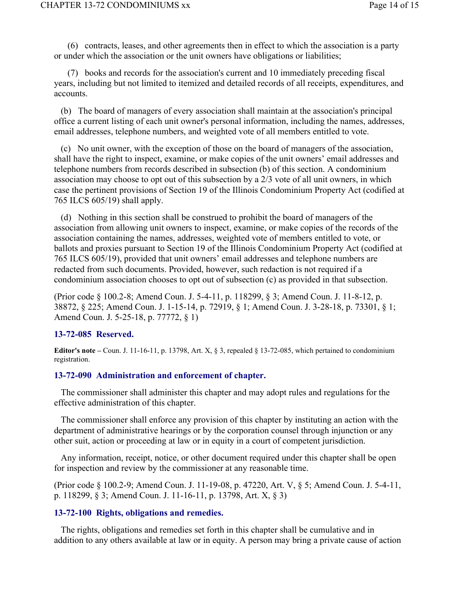(6) contracts, leases, and other agreements then in effect to which the association is a party or under which the association or the unit owners have obligations or liabilities;

 (7) books and records for the association's current and 10 immediately preceding fiscal years, including but not limited to itemized and detailed records of all receipts, expenditures, and accounts.

 (b) The board of managers of every association shall maintain at the association's principal office a current listing of each unit owner's personal information, including the names, addresses, email addresses, telephone numbers, and weighted vote of all members entitled to vote.

 (c) No unit owner, with the exception of those on the board of managers of the association, shall have the right to inspect, examine, or make copies of the unit owners' email addresses and telephone numbers from records described in subsection (b) of this section. A condominium association may choose to opt out of this subsection by a 2/3 vote of all unit owners, in which case the pertinent provisions of Section 19 of the Illinois Condominium Property Act (codified at 765 ILCS 605/19) shall apply.

 (d) Nothing in this section shall be construed to prohibit the board of managers of the association from allowing unit owners to inspect, examine, or make copies of the records of the association containing the names, addresses, weighted vote of members entitled to vote, or ballots and proxies pursuant to Section 19 of the Illinois Condominium Property Act (codified at 765 ILCS 605/19), provided that unit owners' email addresses and telephone numbers are redacted from such documents. Provided, however, such redaction is not required if a condominium association chooses to opt out of subsection (c) as provided in that subsection.

(Prior code § 100.2-8; Amend Coun. J. 5-4-11, p. 118299, § 3; Amend Coun. J. 11-8-12, p. 38872, § 225; Amend Coun. J. 1-15-14, p. 72919, § 1; Amend Coun. J. 3-28-18, p. 73301, § 1; Amend Coun. J. 5-25-18, p. 77772, § 1)

#### 13-72-085 Reserved.

Editor's note – Coun. J. 11-16-11, p. 13798, Art. X, § 3, repealed § 13-72-085, which pertained to condominium registration.

#### 13-72-090 Administration and enforcement of chapter.

 The commissioner shall administer this chapter and may adopt rules and regulations for the effective administration of this chapter.

 The commissioner shall enforce any provision of this chapter by instituting an action with the department of administrative hearings or by the corporation counsel through injunction or any other suit, action or proceeding at law or in equity in a court of competent jurisdiction.

 Any information, receipt, notice, or other document required under this chapter shall be open for inspection and review by the commissioner at any reasonable time.

(Prior code § 100.2-9; Amend Coun. J. 11-19-08, p. 47220, Art. V, § 5; Amend Coun. J. 5-4-11, p. 118299, § 3; Amend Coun. J. 11-16-11, p. 13798, Art. X, § 3)

### 13-72-100 Rights, obligations and remedies.

 The rights, obligations and remedies set forth in this chapter shall be cumulative and in addition to any others available at law or in equity. A person may bring a private cause of action